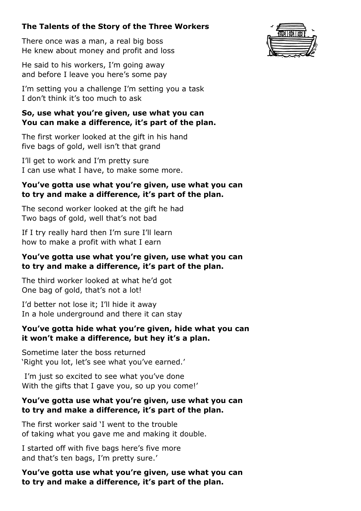# **The Talents of the Story of the Three Workers**

There once was a man, a real big boss He knew about money and profit and loss

He said to his workers, I'm going away and before I leave you here's some pay

I'm setting you a challenge I'm setting you a task I don't think it's too much to ask

## **So, use what you're given, use what you can You can make a difference, it's part of the plan.**

The first worker looked at the gift in his hand five bags of gold, well isn't that grand

I'll get to work and I'm pretty sure I can use what I have, to make some more.

### **You've gotta use what you're given, use what you can to try and make a difference, it's part of the plan.**

The second worker looked at the gift he had Two bags of gold, well that's not bad

If I try really hard then I'm sure I'll learn how to make a profit with what I earn

### **You've gotta use what you're given, use what you can to try and make a difference, it's part of the plan.**

The third worker looked at what he'd got One bag of gold, that's not a lot!

I'd better not lose it; I'll hide it away In a hole underground and there it can stay

## **You've gotta hide what you're given, hide what you can it won't make a difference, but hey it's a plan.**

Sometime later the boss returned 'Right you lot, let's see what you've earned.'

I'm just so excited to see what you've done With the gifts that I gave you, so up you come!'

## **You've gotta use what you're given, use what you can to try and make a difference, it's part of the plan.**

The first worker said 'I went to the trouble of taking what you gave me and making it double.

I started off with five bags here's five more and that's ten bags, I'm pretty sure.'

**You've gotta use what you're given, use what you can to try and make a difference, it's part of the plan.**